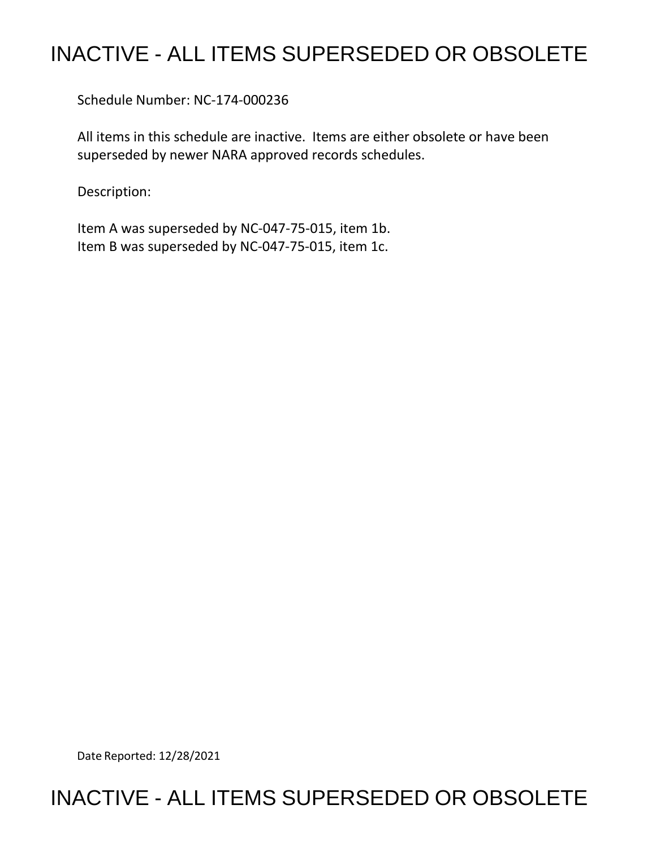## INACTIVE - ALL ITEMS SUPERSEDED OR OBSOLETE

Schedule Number: NC-174-000236

 All items in this schedule are inactive. Items are either obsolete or have been superseded by newer NARA approved records schedules.

Description:

 Item A was superseded by NC-047-75-015, item 1b. Item B was superseded by NC-047-75-015, item 1c.

Date Reported: 12/28/2021

## INACTIVE - ALL ITEMS SUPERSEDED OR OBSOLETE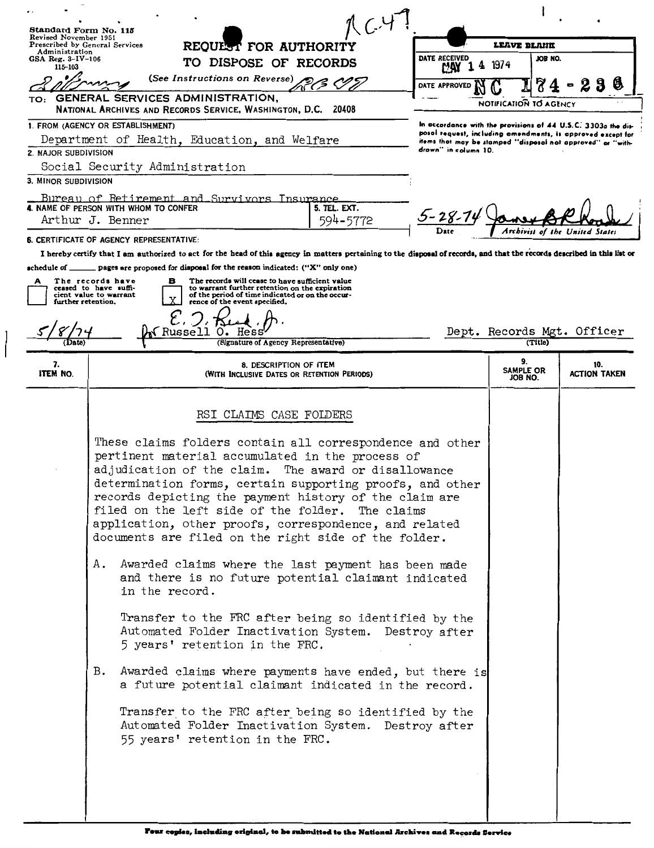| Standard Form No. 115<br>Revised November 1951                                                                                                                                                                               |                                                                                                                      |                            |                            |                                                                                                                              |
|------------------------------------------------------------------------------------------------------------------------------------------------------------------------------------------------------------------------------|----------------------------------------------------------------------------------------------------------------------|----------------------------|----------------------------|------------------------------------------------------------------------------------------------------------------------------|
| Prescribed by General Services<br>REQUEST FOR AUTHORITY<br>Administration                                                                                                                                                    |                                                                                                                      | LEAVE DLAHK                |                            |                                                                                                                              |
| GSA Reg. 3-IV-106<br>115-103                                                                                                                                                                                                 | TO DISPOSE OF RECORDS                                                                                                | <b>DATE RECEIVED</b><br>MW | JOB NO.<br>1974            |                                                                                                                              |
|                                                                                                                                                                                                                              | (See Instructions on Reverse)                                                                                        | DATE APPROVED              |                            | b                                                                                                                            |
| TO:                                                                                                                                                                                                                          | <b>GENERAL SERVICES ADMINISTRATION,</b>                                                                              |                            | NOTIFICATION TO AGENCY     |                                                                                                                              |
|                                                                                                                                                                                                                              | NATIONAL ARCHIVES AND RECORDS SERVICE, WASHINGTON, D.C. 20408                                                        |                            |                            |                                                                                                                              |
| 1. FROM (AGENCY OR ESTABLISHMENT)<br>Department of Health, Education, and Welfare                                                                                                                                            |                                                                                                                      |                            |                            | In accordance with the provisions of 44 U.S.C. 3303a the dis-<br>posal request, including amendments, is approved except for |
| 2. MAJOR SUBDIVISION                                                                                                                                                                                                         |                                                                                                                      | drawn'' in column 10.      |                            | items that may be stamped "disposal not approved" or "with-                                                                  |
|                                                                                                                                                                                                                              | Social Security Administration                                                                                       |                            |                            |                                                                                                                              |
| 3. MINOR SUBDIVISION                                                                                                                                                                                                         |                                                                                                                      |                            |                            |                                                                                                                              |
|                                                                                                                                                                                                                              | Bureau of Retirement and Survivors Insurance                                                                         |                            |                            |                                                                                                                              |
|                                                                                                                                                                                                                              | 4. NAME OF PERSON WITH WHOM TO CONFER<br>5. TEL. EXT.<br>594-5772<br>Arthur J. Benner                                |                            |                            |                                                                                                                              |
|                                                                                                                                                                                                                              |                                                                                                                      |                            |                            |                                                                                                                              |
| <b>6. CERTIFICATE OF AGENCY REPRESENTATIVE:</b><br>I hereby certify that I am authorized to act for the head of this agency in matters pertaining to the disposal of records, and that the records described in this list or |                                                                                                                      |                            |                            |                                                                                                                              |
| $\equiv$ pages are proposed for disposal for the reason indicated: ("X" only one)<br>$\bullet$ echedule of $\rule{1em}{0.15mm}$                                                                                              |                                                                                                                      |                            |                            |                                                                                                                              |
| The records will cease to have sufficient value<br>The records have<br>в<br>А<br>to warrant further retention on the expiration<br>ceased to have suffi-                                                                     |                                                                                                                      |                            |                            |                                                                                                                              |
| of the period of time indicated or on the occur-<br>cient value to warrant<br>further retention.<br>rence of the event specified.                                                                                            |                                                                                                                      |                            |                            |                                                                                                                              |
|                                                                                                                                                                                                                              |                                                                                                                      |                            |                            |                                                                                                                              |
| (Russell 0.<br>Dept. Records Mgt. Officer<br>Hess                                                                                                                                                                            |                                                                                                                      |                            |                            |                                                                                                                              |
|                                                                                                                                                                                                                              | (Signature of Agency Representative)                                                                                 |                            | (Title)                    |                                                                                                                              |
| 7.<br><b>ITEM NO.</b>                                                                                                                                                                                                        | 8. DESCRIPTION OF ITEM<br>(WITH INCLUSIVE DATES OR RETENTION PERIODS)                                                |                            | 9.<br>SAMPLE OR<br>JOB NO. | 10.<br><b>ACTION TAKEN</b>                                                                                                   |
|                                                                                                                                                                                                                              |                                                                                                                      |                            |                            |                                                                                                                              |
|                                                                                                                                                                                                                              | RSI CLAIMS CASE FOLDERS                                                                                              |                            |                            |                                                                                                                              |
|                                                                                                                                                                                                                              | These claims folders contain all correspondence and other<br>pertinent material accumulated in the process of        |                            |                            |                                                                                                                              |
|                                                                                                                                                                                                                              | adjudication of the claim. The award or disallowance<br>determination forms, certain supporting proofs, and other    |                            |                            |                                                                                                                              |
|                                                                                                                                                                                                                              | records depicting the payment history of the claim are                                                               |                            |                            |                                                                                                                              |
|                                                                                                                                                                                                                              | filed on the left side of the folder.<br>The claims                                                                  |                            |                            |                                                                                                                              |
|                                                                                                                                                                                                                              | application, other proofs, correspondence, and related                                                               |                            |                            |                                                                                                                              |
|                                                                                                                                                                                                                              | documents are filed on the right side of the folder.                                                                 |                            |                            |                                                                                                                              |
|                                                                                                                                                                                                                              | Awarded claims where the last payment has been made<br>Α.                                                            |                            |                            |                                                                                                                              |
|                                                                                                                                                                                                                              | and there is no future potential claimant indicated<br>in the record.                                                |                            |                            |                                                                                                                              |
|                                                                                                                                                                                                                              | Transfer to the FRC after being so identified by the                                                                 |                            |                            |                                                                                                                              |
|                                                                                                                                                                                                                              | Automated Folder Inactivation System. Destroy after                                                                  |                            |                            |                                                                                                                              |
|                                                                                                                                                                                                                              | 5 years' retention in the FRC.                                                                                       |                            |                            |                                                                                                                              |
|                                                                                                                                                                                                                              |                                                                                                                      |                            |                            |                                                                                                                              |
|                                                                                                                                                                                                                              | B.<br>Awarded claims where payments have ended, but there is<br>a future potential claimant indicated in the record. |                            |                            |                                                                                                                              |
|                                                                                                                                                                                                                              | Transfer to the FRC after being so identified by the                                                                 |                            |                            |                                                                                                                              |
|                                                                                                                                                                                                                              | Automated Folder Inactivation System. Destroy after                                                                  |                            |                            |                                                                                                                              |
|                                                                                                                                                                                                                              | 55 years' retention in the FRC.                                                                                      |                            |                            |                                                                                                                              |
|                                                                                                                                                                                                                              |                                                                                                                      |                            |                            |                                                                                                                              |
|                                                                                                                                                                                                                              |                                                                                                                      |                            |                            |                                                                                                                              |
|                                                                                                                                                                                                                              |                                                                                                                      |                            |                            |                                                                                                                              |
|                                                                                                                                                                                                                              |                                                                                                                      |                            |                            |                                                                                                                              |

ľ